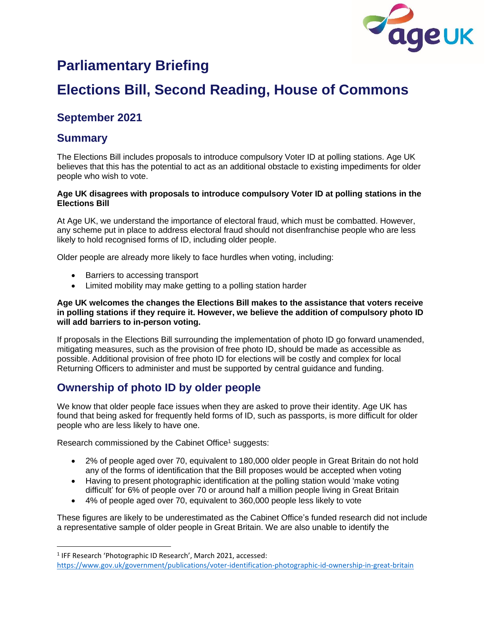

# **Parliamentary Briefing**

# **Elections Bill, Second Reading, House of Commons**

## **September 2021**

## **Summary**

The Elections Bill includes proposals to introduce compulsory Voter ID at polling stations. Age UK believes that this has the potential to act as an additional obstacle to existing impediments for older people who wish to vote.

#### **Age UK disagrees with proposals to introduce compulsory Voter ID at polling stations in the Elections Bill**

At Age UK, we understand the importance of electoral fraud, which must be combatted. However, any scheme put in place to address electoral fraud should not disenfranchise people who are less likely to hold recognised forms of ID, including older people.

Older people are already more likely to face hurdles when voting, including:

- Barriers to accessing transport
- Limited mobility may make getting to a polling station harder

#### **Age UK welcomes the changes the Elections Bill makes to the assistance that voters receive in polling stations if they require it. However, we believe the addition of compulsory photo ID will add barriers to in-person voting.**

If proposals in the Elections Bill surrounding the implementation of photo ID go forward unamended, mitigating measures, such as the provision of free photo ID, should be made as accessible as possible. Additional provision of free photo ID for elections will be costly and complex for local Returning Officers to administer and must be supported by central guidance and funding.

## **Ownership of photo ID by older people**

We know that older people face issues when they are asked to prove their identity. Age UK has found that being asked for frequently held forms of ID, such as passports, is more difficult for older people who are less likely to have one.

Research commissioned by the Cabinet Office<sup>1</sup> suggests:

- 2% of people aged over 70, equivalent to 180,000 older people in Great Britain do not hold any of the forms of identification that the Bill proposes would be accepted when voting
- Having to present photographic identification at the polling station would 'make voting difficult' for 6% of people over 70 or around half a million people living in Great Britain
- 4% of people aged over 70, equivalent to 360,000 people less likely to vote

These figures are likely to be underestimated as the Cabinet Office's funded research did not include a representative sample of older people in Great Britain. We are also unable to identify the

<sup>&</sup>lt;sup>1</sup> IFF Research 'Photographic ID Research', March 2021, accessed:

<https://www.gov.uk/government/publications/voter-identification-photographic-id-ownership-in-great-britain>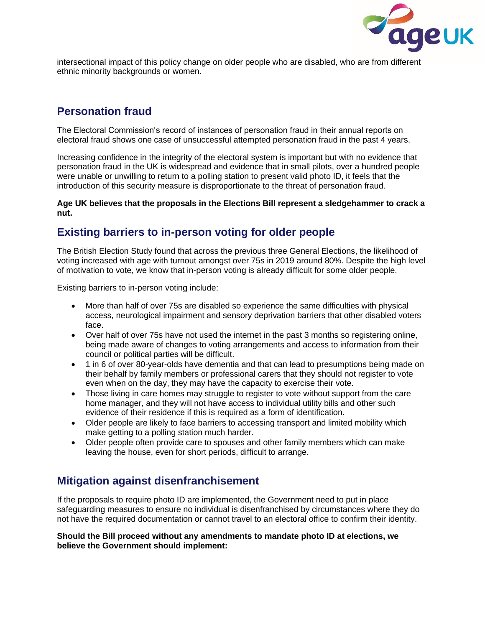

intersectional impact of this policy change on older people who are disabled, who are from different ethnic minority backgrounds or women.

#### **Personation fraud**

The Electoral Commission's record of instances of personation fraud in their annual reports on electoral fraud shows one case of unsuccessful attempted personation fraud in the past 4 years.

Increasing confidence in the integrity of the electoral system is important but with no evidence that personation fraud in the UK is widespread and evidence that in small pilots, over a hundred people were unable or unwilling to return to a polling station to present valid photo ID, it feels that the introduction of this security measure is disproportionate to the threat of personation fraud.

**Age UK believes that the proposals in the Elections Bill represent a sledgehammer to crack a nut.** 

## **Existing barriers to in-person voting for older people**

The British Election Study found that across the previous three General Elections, the likelihood of voting increased with age with turnout amongst over 75s in 2019 around 80%. Despite the high level of motivation to vote, we know that in-person voting is already difficult for some older people.

Existing barriers to in-person voting include:

- More than half of over 75s are disabled so experience the same difficulties with physical access, neurological impairment and sensory deprivation barriers that other disabled voters face.
- Over half of over 75s have not used the internet in the past 3 months so registering online, being made aware of changes to voting arrangements and access to information from their council or political parties will be difficult.
- 1 in 6 of over 80-year-olds have dementia and that can lead to presumptions being made on their behalf by family members or professional carers that they should not register to vote even when on the day, they may have the capacity to exercise their vote.
- Those living in care homes may struggle to register to vote without support from the care home manager, and they will not have access to individual utility bills and other such evidence of their residence if this is required as a form of identification.
- Older people are likely to face barriers to accessing transport and limited mobility which make getting to a polling station much harder.
- Older people often provide care to spouses and other family members which can make leaving the house, even for short periods, difficult to arrange.

## **Mitigation against disenfranchisement**

If the proposals to require photo ID are implemented, the Government need to put in place safeguarding measures to ensure no individual is disenfranchised by circumstances where they do not have the required documentation or cannot travel to an electoral office to confirm their identity.

#### **Should the Bill proceed without any amendments to mandate photo ID at elections, we believe the Government should implement:**